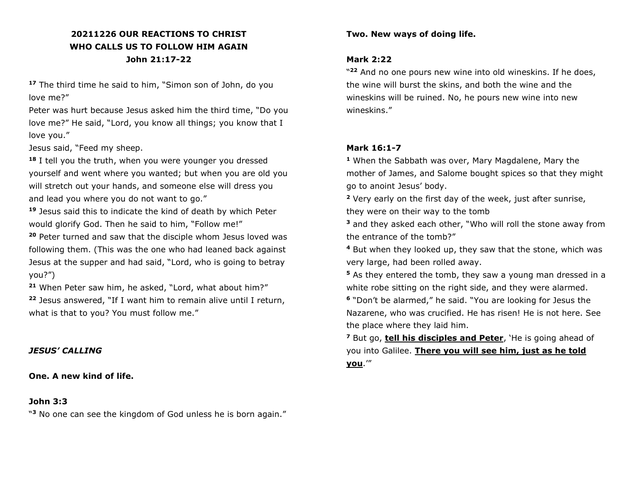# **20211226 OUR REACTIONS TO CHRIST WHO CALLS US TO FOLLOW HIM AGAIN John 21:17-22**

**<sup>17</sup>** The third time he said to him, "Simon son of John, do you love me?"

Peter was hurt because Jesus asked him the third time, "Do you love me?" He said, "Lord, you know all things; you know that I love you."

Jesus said, "Feed my sheep.

**<sup>18</sup>** I tell you the truth, when you were younger you dressed yourself and went where you wanted; but when you are old you will stretch out your hands, and someone else will dress you and lead you where you do not want to go."

**<sup>19</sup>** Jesus said this to indicate the kind of death by which Peter would glorify God. Then he said to him, "Follow me!"

**<sup>20</sup>** Peter turned and saw that the disciple whom Jesus loved was following them. (This was the one who had leaned back against Jesus at the supper and had said, "Lord, who is going to betray you?")

**<sup>21</sup>** When Peter saw him, he asked, "Lord, what about him?"

**<sup>22</sup>** Jesus answered, "If I want him to remain alive until I return, what is that to you? You must follow me."

# *JESUS' CALLING*

**One. A new kind of life.** 

#### **John 3:3**

" **<sup>3</sup>** No one can see the kingdom of God unless he is born again."

### **Two. New ways of doing life.**

# **Mark 2:22**

" **<sup>22</sup>** And no one pours new wine into old wineskins. If he does, the wine will burst the skins, and both the wine and the wineskins will be ruined. No, he pours new wine into new wineskins."

### **Mark 16:1-7**

**<sup>1</sup>** When the Sabbath was over, Mary Magdalene, Mary the mother of James, and Salome bought spices so that they might go to anoint Jesus' body.

**<sup>2</sup>** Very early on the first day of the week, just after sunrise, they were on their way to the tomb

**<sup>3</sup>** and they asked each other, "Who will roll the stone away from the entrance of the tomb?"

**<sup>4</sup>** But when they looked up, they saw that the stone, which was very large, had been rolled away.

**<sup>5</sup>** As they entered the tomb, they saw a young man dressed in a white robe sitting on the right side, and they were alarmed.

**6** "Don't be alarmed," he said. "You are looking for Jesus the Nazarene, who was crucified. He has risen! He is not here. See the place where they laid him.

**<sup>7</sup>** But go, **tell his disciples and Peter**, 'He is going ahead of you into Galilee. **There you will see him, just as he told you**.'"